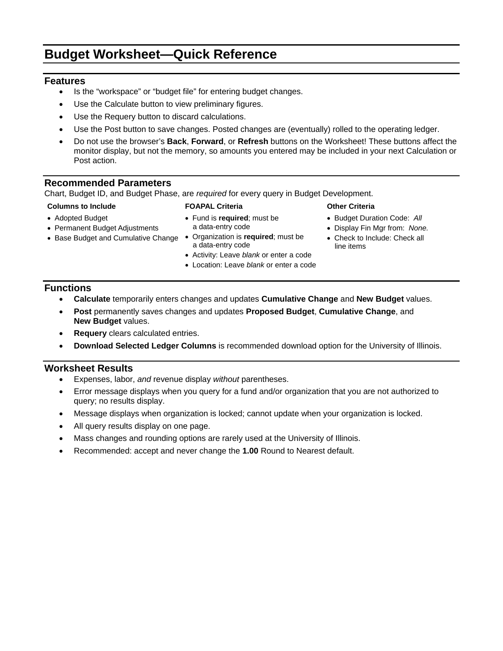# **Budget Worksheet—Quick Reference**

### **Features**

- Is the "workspace" or "budget file" for entering budget changes.
- Use the Calculate button to view preliminary figures.
- Use the Requery button to discard calculations.
- Use the Post button to save changes. Posted changes are (eventually) rolled to the operating ledger.
- Do not use the browser's **Back**, **Forward**, or **Refresh** buttons on the Worksheet! These buttons affect the monitor display, but not the memory, so amounts you entered may be included in your next Calculation or Post action.

### **Recommended Parameters**

Chart, Budget ID, and Budget Phase, are *required* for every query in Budget Development.

### **Columns to Include FOAPAL Criteria Other Criteria**

- Adopted Budget
- Permanent Budget Adjustments
- Base Budget and Cumulative Change Organization is **required**; must be
- Fund is **required**; must be a data-entry code
	- a data-entry code
	- Activity: Leave *blank* or enter a code
	- Location: Leave *blank* or enter a code

- Budget Duration Code: *All*
- Display Fin Mgr from: *None.*
- Check to Include: Check all line items

### **Functions**

- **Calculate** temporarily enters changes and updates **Cumulative Change** and **New Budget** values.
- **Post** permanently saves changes and updates **Proposed Budget**, **Cumulative Change**, and **New Budget** values.
- **Requery** clears calculated entries.
- **Download Selected Ledger Columns** is recommended download option for the University of Illinois.

## **Worksheet Results**

- Expenses, labor, *and* revenue display *without* parentheses.
- Error message displays when you query for a fund and/or organization that you are not authorized to query; no results display.
- Message displays when organization is locked; cannot update when your organization is locked.
- All query results display on one page.
- Mass changes and rounding options are rarely used at the University of Illinois.
- Recommended: accept and never change the **1.00** Round to Nearest default.